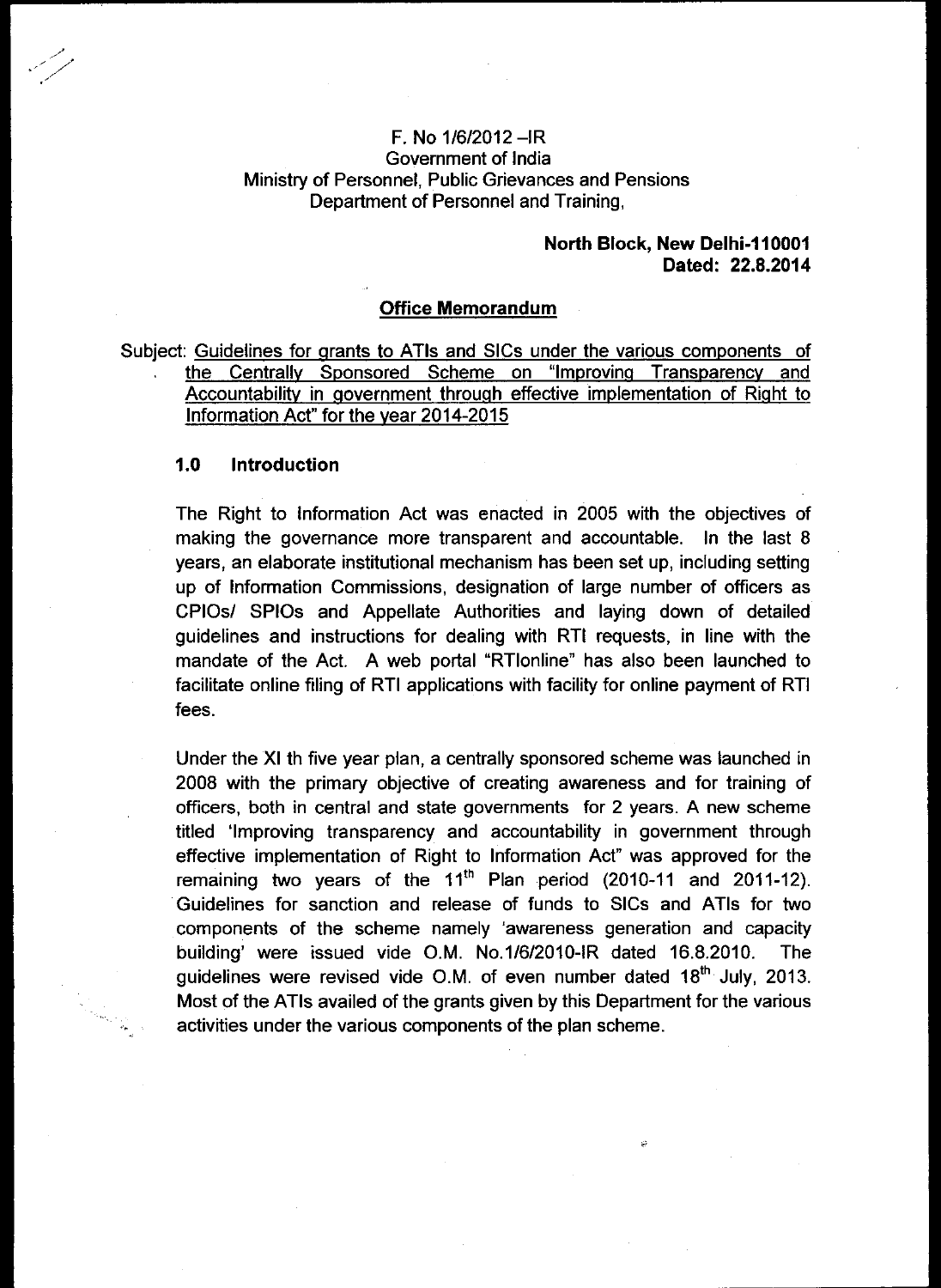## **F.** No 1/6/2012 —IR Government of India Ministry of Personnel, Public Grievances and Pensions Department of Personnel and Training,

### **North Block, New Delhi-110001 Dated: 22.8.2014**

# **Office Memorandum**

Subject: Guidelines for grants to ATIs and SICs under the various components of the Centrally Sponsored Scheme on "Improving Transparency and Accountability in government through effective implementation of Right to Information Act" for the year 2014-2015

### **1.0 Introduction**

The Right to Information Act was enacted in 2005 with the objectives of making the governance more transparent and accountable. In the last 8 years, an elaborate institutional mechanism has been set up, including setting up of Information Commissions, designation of large number of officers as CPIOs/ SPIOs and Appellate Authorities and laying down of detailed guidelines and instructions for dealing with RTI requests, in line with the mandate of the Act. A web portal "RTlonline" has also been launched to facilitate online filing of RTI applications with facility for online payment of RTI fees.

Under the XI th five year plan, a centrally sponsored scheme was launched in 2008 with the primary objective of creating awareness and for training of officers, both in central and state governments for 2 years. A new scheme titled 'Improving transparency and accountability in government through effective implementation of Right to Information Act" was approved for the remaining two years of the 11<sup>th</sup> Plan period (2010-11 and 2011-12). Guidelines for sanction and release of funds to SICs and ATIs for two components of the scheme namely 'awareness generation and capacity building' were issued vide O.M. No.1/6/2010-IR dated 16.8.2010. The guidelines were revised vide O.M. of even number dated 18<sup>th</sup> July, 2013. Most of the ATIs availed of the grants given by this Department for the various activities under the various components of the plan scheme.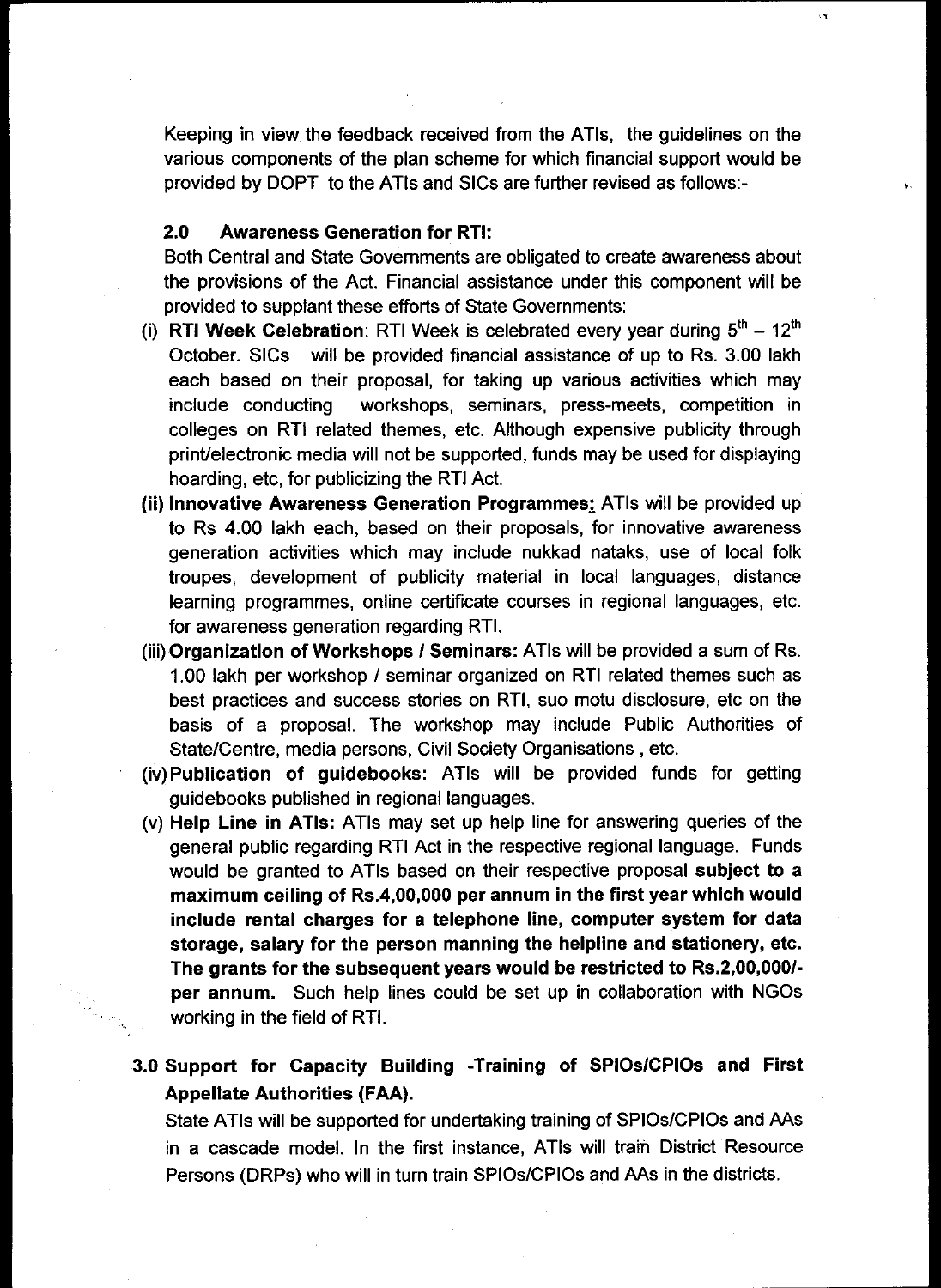Keeping in view the feedback received from the ATIs, the guidelines on the various components of the plan scheme for which financial support would be provided by DOPT to the ATIs and SICs are further revised as follows:-

# **2.0 Awareness Generation for RTI:**

Both Central and State Governments are obligated to create awareness about the provisions of the Act. Financial assistance under this component will be provided to supplant these efforts of State Governments:

- (i) **RTI Week Celebration**: RTI Week is celebrated every year during  $5<sup>th</sup> 12<sup>th</sup>$ October. SICs will be provided financial assistance of up to Rs. 3.00 lakh each based on their proposal, for taking up various activities which may include conducting workshops, seminars, press-meets, competition in colleges on RTI related themes, etc. Although expensive publicity through print/electronic media will not be supported, funds may be used for displaying hoarding, etc, for publicizing the RTI Act.
- **(ii) Innovative Awareness Generation Programmes:** ATIs will be provided up to Rs 4.00 lakh each, based on their proposals, for innovative awareness generation activities which may include nukkad nataks, use of local folk troupes, development of publicity material in local languages, distance learning programmes, online certificate courses in regional languages, etc. for awareness generation regarding RTI.
- **(iii)Organization of Workshops I Seminars:** ATIs will be provided a sum of Rs. 1.00 lakh per workshop / seminar organized on RTI related themes such as best practices and success stories on RTI, suo motu disclosure, etc on the basis of a proposal. The workshop may include Public Authorities of State/Centre, media persons, Civil Society Organisations , etc.
- **(iv)Publication of guidebooks:** ATIs will be provided funds for getting guidebooks published in regional languages.
- (v) **Help Line in ATIs:** ATIs may set up help line for answering queries of the general public regarding RTI Act in the respective regional language. Funds would be granted to ATIs based on their respective proposal **subject to a maximum ceiling of Rs.4,00,000 per annum in the first year which would include rental charges for a telephone line, computer system for data storage, salary for the person manning the helpline and stationery, etc. The grants for the subsequent years would be restricted to Rs.2,00,000/ per annum.** Such help lines could be set up in collaboration with NGOs working in the field of RTI.

# **3.0 Support for Capacity Building -Training of SPIOsICPIOs and First Appellate Authorities (FAA).**

State ATIs will be supported for undertaking training of SPIOs/CPIOs and AAs in a cascade model. In the first instance, ATIs will train District Resource Persons (DRPs) who will in turn train SPIOs/CPIOs and AAs in the districts.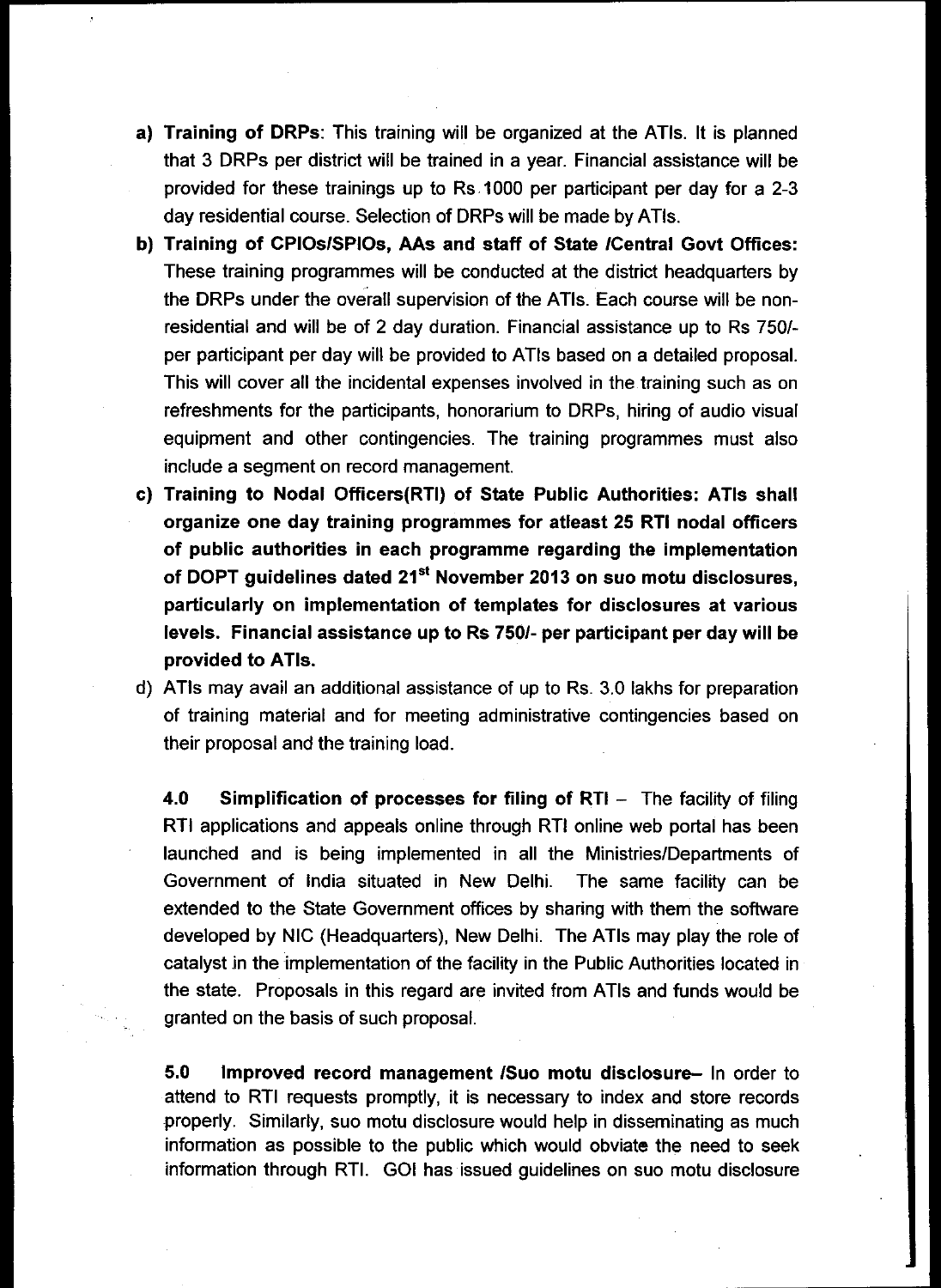- **a) Training of DRPs:** This training will be organized at the ATIs. It is planned that 3 DRPs per district will be trained in a year. Financial assistance will be provided for these trainings up to Rs 1000 per participant per day for a 2-3 day residential course. Selection of DRPs will be made by ATIs.
- **b) Training of CPIOs/SPIOs, AAs and staff of State /Central Govt Offices:**  These training programmes will be conducted at the district headquarters by the DRPs under the overall supervision of the ATIs. Each course will be nonresidential and will be of 2 day duration. Financial assistance up to Rs 750/ per participant per day will be provided to ATIs based on a detailed proposal. This will cover all the incidental expenses involved in the training such as on refreshments for the participants, honorarium to DRPs, hiring of audio visual equipment and other contingencies. The training programmes must also include a segment on record management.
- **c) Training to Nodal Officers(RTI) of State Public Authorities: ATIs shall organize one day training programmes for atleast 25 RTI nodal officers of public authorities in each programme regarding the implementation of DOPT guidelines dated 21 st November 2013 on suo motu disclosures, particularly on implementation of templates for disclosures at various levels. Financial assistance up to Rs 750/- per participant per day will be provided to ATIs.**
- d) ATIs may avail an additional assistance of up to Rs. 3.0 lakhs for preparation of training material and for meeting administrative contingencies based on their proposal and the training load.

**4.0 Simplification of processes for filing of RTI —** The facility of filing RTI applications and appeals online through RTI online web portal has been launched and is being implemented in all the Ministries/Departments of Government of India situated in New Delhi. The same facility can be extended to the State Government offices by sharing with them the software developed by NIC (Headquarters), New Delhi. The ATIs may play the role of catalyst in the implementation of the facility in the Public Authorities located in the state. Proposals in this regard are invited from ATIs and funds would be granted on the basis of such proposal.

**5.0 Improved record management /Suo motu disclosure—** In order to attend to RTI requests promptly, it is necessary to index and store records properly. Similarly, suo motu disclosure would help in disseminating as much information as possible to the public which would obviate the need to seek information through RTI. GOI has issued guidelines on suo motu disclosure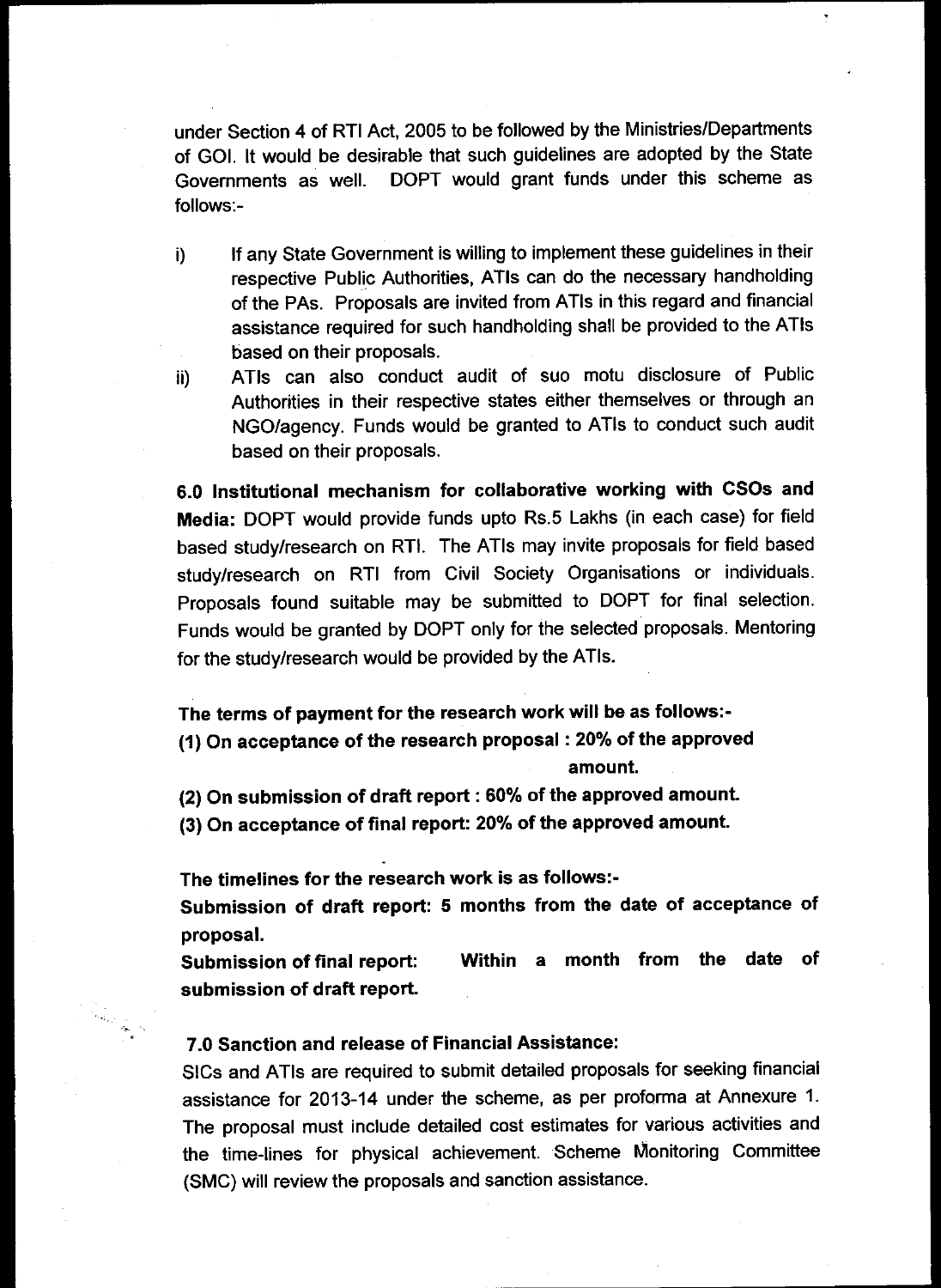under Section 4 of RTI Act, 2005 to be followed by the Ministries/Departments of GOI. It would be desirable that such guidelines are adopted by the State Governments as well. DOPT would grant funds under this scheme as follows:-

- i) If any State Government is willing to implement these guidelines in their respective Public Authorities, ATIs can do the necessary handholding of the PAs. Proposals are invited from ATIs in this regard and financial assistance required for such handholding shall be provided to the ATIs based on their proposals.
- ii) ATIs can also conduct audit of suo motu disclosure of Public Authorities in their respective states either themselves or through an NGO/agency. Funds would be granted to ATIs to conduct such audit based on their proposals.

**6.0 Institutional mechanism for collaborative working with CSOs and Media:** DOPT would provide funds upto Rs.5 Lakhs (in each case) for field based study/research on RTI. The ATIs may invite proposals for field based study/research on RTI from Civil Society Organisations or individuals. Proposals found suitable may be submitted to DOPT for final selection. Funds would be granted by DOPT only for the selected proposals. Mentoring for the study/research would be provided by the ATIs.

**The terms of payment for the research work will be as follows:- (1) On acceptance of the research proposal : 20% of the approved amount.** 

(2) On submission of draft report : 60% of the approved amount.

**(3) On acceptance of final report: 20% of the approved amount.** 

**The timelines for the research work is as follows:-** 

**Submission of draft report: 5 months from the date of acceptance of proposal.** 

**Submission of final report: Within a month from the date of submission of draft report.** 

### **7.0 Sanction and release of Financial Assistance:**

SICs and ATIs are required to submit detailed proposals for seeking financial assistance for 2013-14 under the scheme, as per proforma at Annexure 1. The proposal must include detailed cost estimates for various activities and the time-lines for physical achievement. Scheme Monitoring Committee (SMC) will review the proposals and sanction assistance.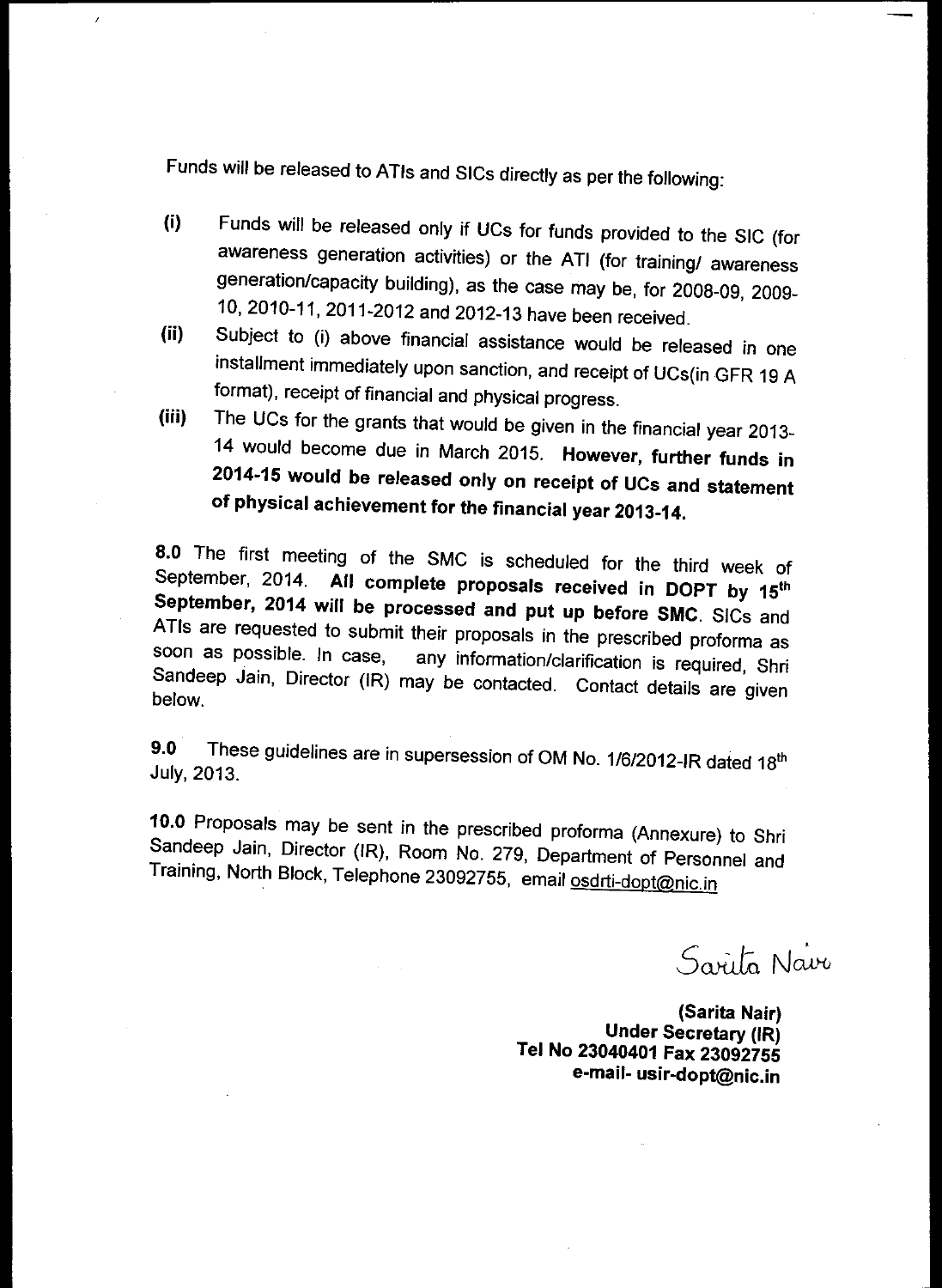Funds will be released to ATIs and SICs directly as per the following:

 $\overline{\phantom{a}}$ 

- (i) Funds will be released only if UCs for funds provided to the SIC (for awareness generation activities) or the ATI (for training/ awareness generation/capacity building), as the case may be, for 2008-09, 2009- 10, 2010-11, 2011-2012 and 2012-13 have been received.
- (ii) Subject to (i) above financial assistance would be released in one installment immediately upon sanction, and receipt of UCs(in GFR 19 A format), receipt of financial and physical progress.
- (iii) The UCs for the grants that would be given in the financial year 2013- 14 would become due in March 2015. **However, further funds in 2014-15 would be released only on receipt of UCs and statement of physical achievement for the financial year 2013-14.**

**8.0** The first meeting of the SMC is scheduled for the third week of September, 2014. All complete proposals received in DOPT by 15<sup>th</sup> **September, 2014 will be processed and put up before SMC.** SICs and ATIs are requested to submit their proposals in the prescribed proforma as soon as possible. In case, any information/clarification is required. She any information/clarification is required, Shri Sandeep Jain, Director (IR) may be contacted. Contact details are given below.

**9.0** These guidelines are in supersession of **OM** No. 1/6/2012-IR dated 18th July, 2013.

10.0 Proposals may **be** sent in the prescribed proforma (Annexure) to Shri Sandeep Jain, Director (IR), Room No. 279, Department of Personnel and Training, North Block, Telephone 23092755, email osdrti-dopt@nic.in

Sarita Navo

**(Sarita Nair) Under Secretary (IR) Tel No 23040401 Fax 23092755 e-mail- usir-dopt@nic.in**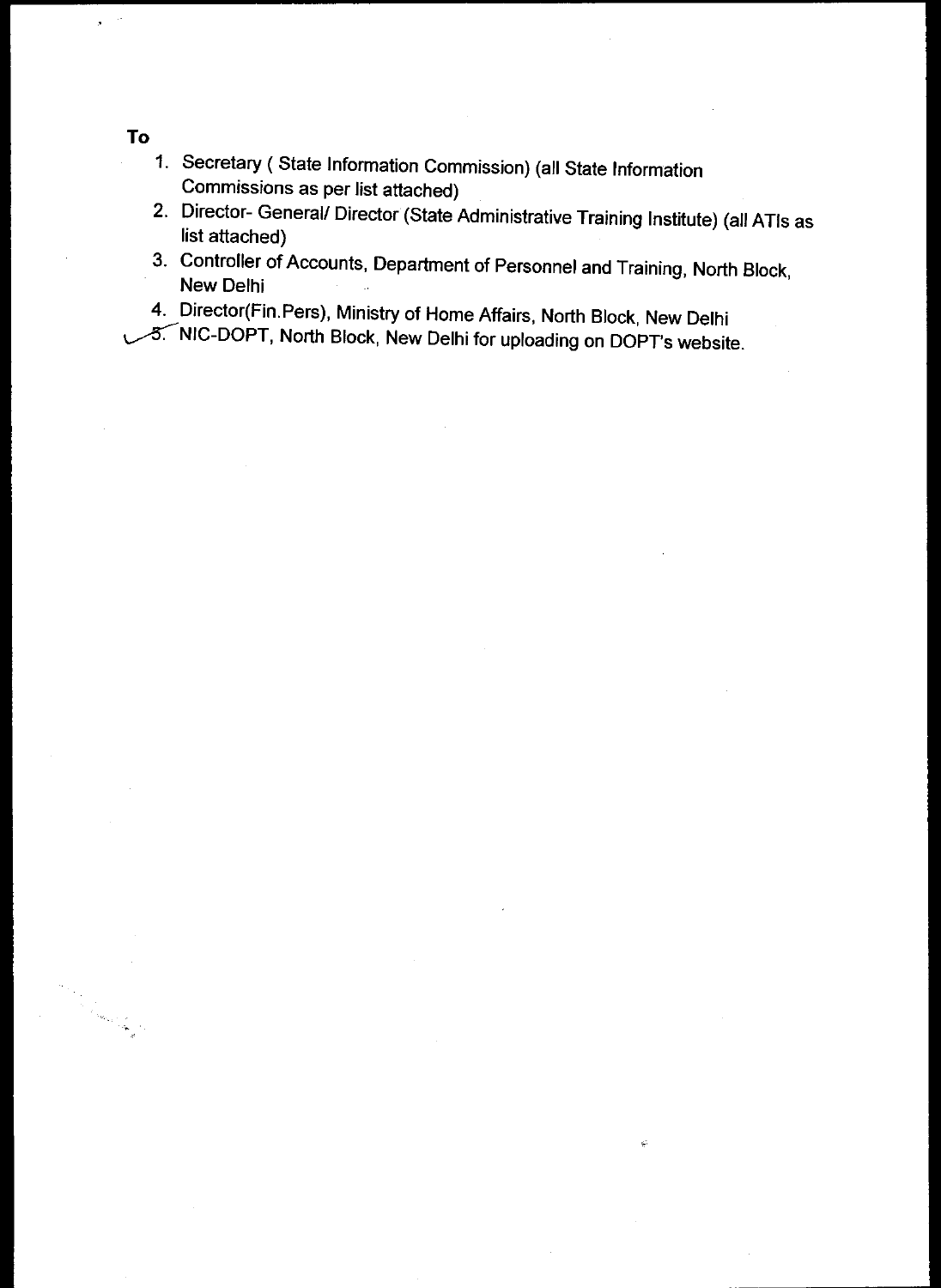1. Secretary ( State Information Commission) (all State Information Commissions as per list attached)

2. Director- General/ Director (State Administrative Training Institute) (all ATIs as list attached)

ç

- 3. Controller of Accounts, Department of Personnel and Training, North Block, New Delhi
- 4. Director(Fin.Pers), Ministry of Home Affairs, North Block, New Delhi

1.5. NIC-DOPT, North Block, New Delhi for uploading on DOPT's website.

# **To**

 $\mathbf{r}$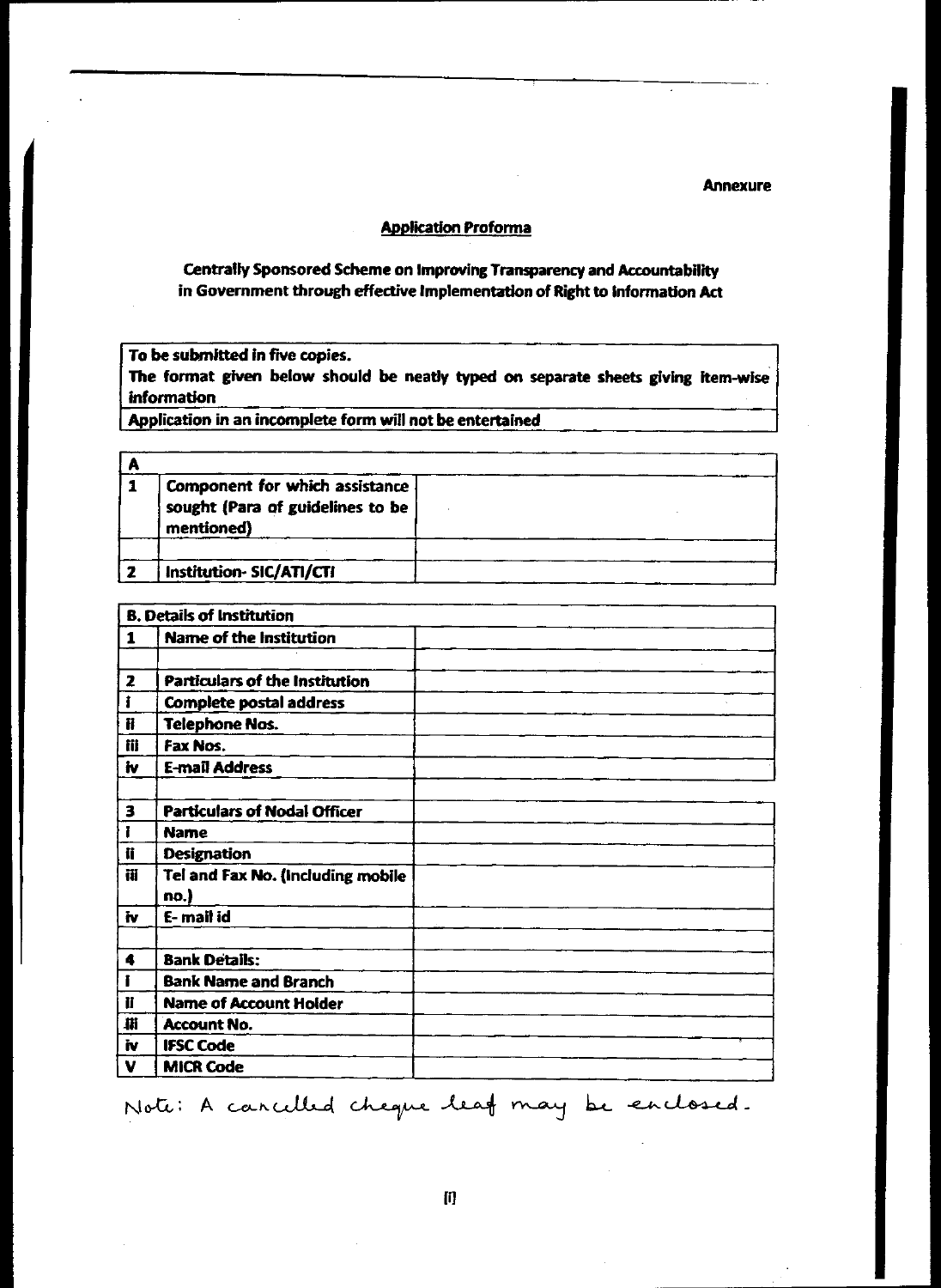#### **Annexure**

#### **Application Proforma**

### **Centrally Sponsored Scheme on Improving Transparency and Accountability in Government through effective Implementation of Right to Information Act**

**To be submitted in five copies.** 

**The format given below should be neatly typed on separate sheets giving item-wise information** 

**Application in an incomplete form will not be entertained** 

| Component for which assistance<br>sought (Para of guidelines to be<br>mentioned) |  |
|----------------------------------------------------------------------------------|--|
| Institution-SIC/ATI/CTI                                                          |  |
|                                                                                  |  |

| <b>B. Details of Institution</b> |                                           |  |  |
|----------------------------------|-------------------------------------------|--|--|
| 1                                | <b>Name of the Institution</b>            |  |  |
|                                  |                                           |  |  |
| $\mathbf{z}$                     | Particulars of the Institution            |  |  |
| i                                | <b>Complete postal address</b>            |  |  |
| Ħ                                | <b>Telephone Nos.</b>                     |  |  |
| iii                              | Fax Nos.                                  |  |  |
| iv                               | <b>E-mail Address</b>                     |  |  |
|                                  |                                           |  |  |
| $\overline{\mathbf{3}}$          | <b>Particulars of Nodal Officer</b>       |  |  |
| Ī                                | <b>Name</b>                               |  |  |
| ij                               | <b>Designation</b>                        |  |  |
| 莆                                | Tel and Fax No. (Including mobile<br>no.) |  |  |
| 'n.                              | E-mail id                                 |  |  |
|                                  |                                           |  |  |
| 4                                | <b>Bank Details:</b>                      |  |  |
| f                                | <b>Bank Name and Branch</b>               |  |  |
| ij                               | <b>Name of Account Holder</b>             |  |  |
| 崩                                | Account No.                               |  |  |
| iv                               | <b>IFSC Code</b>                          |  |  |
| V                                | <b>MICR Code</b>                          |  |  |

Note: A cancelled cheque leaf may be enclosed.